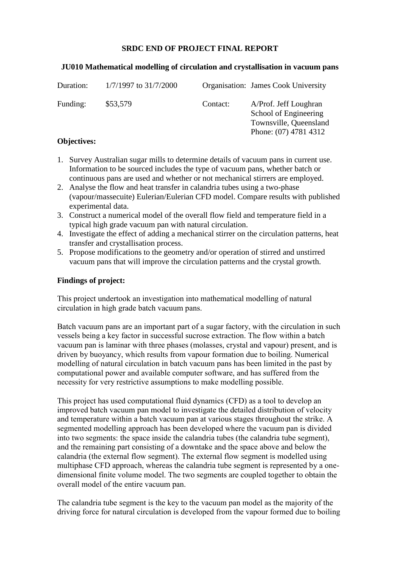# **SRDC END OF PROJECT FINAL REPORT**

### **JU010 Mathematical modelling of circulation and crystallisation in vacuum pans**

| Duration: | 1/7/1997 to 31/7/2000 |          | <b>Organisation:</b> James Cook University                                                        |
|-----------|-----------------------|----------|---------------------------------------------------------------------------------------------------|
| Funding:  | \$53,579              | Contact: | A/Prof. Jeff Loughran<br>School of Engineering<br>Townsville, Queensland<br>Phone: (07) 4781 4312 |

### **Objectives:**

- 1. Survey Australian sugar mills to determine details of vacuum pans in current use. Information to be sourced includes the type of vacuum pans, whether batch or continuous pans are used and whether or not mechanical stirrers are employed.
- 2. Analyse the flow and heat transfer in calandria tubes using a two-phase (vapour/massecuite) Eulerian/Eulerian CFD model. Compare results with published experimental data.
- 3. Construct a numerical model of the overall flow field and temperature field in a typical high grade vacuum pan with natural circulation.
- 4. Investigate the effect of adding a mechanical stirrer on the circulation patterns, heat transfer and crystallisation process.
- 5. Propose modifications to the geometry and/or operation of stirred and unstirred vacuum pans that will improve the circulation patterns and the crystal growth.

## **Findings of project:**

This project undertook an investigation into mathematical modelling of natural circulation in high grade batch vacuum pans.

Batch vacuum pans are an important part of a sugar factory, with the circulation in such vessels being a key factor in successful sucrose extraction. The flow within a batch vacuum pan is laminar with three phases (molasses, crystal and vapour) present, and is driven by buoyancy, which results from vapour formation due to boiling. Numerical modelling of natural circulation in batch vacuum pans has been limited in the past by computational power and available computer software, and has suffered from the necessity for very restrictive assumptions to make modelling possible.

This project has used computational fluid dynamics (CFD) as a tool to develop an improved batch vacuum pan model to investigate the detailed distribution of velocity and temperature within a batch vacuum pan at various stages throughout the strike. A segmented modelling approach has been developed where the vacuum pan is divided into two segments: the space inside the calandria tubes (the calandria tube segment), and the remaining part consisting of a downtake and the space above and below the calandria (the external flow segment). The external flow segment is modelled using multiphase CFD approach, whereas the calandria tube segment is represented by a onedimensional finite volume model. The two segments are coupled together to obtain the overall model of the entire vacuum pan.

The calandria tube segment is the key to the vacuum pan model as the majority of the driving force for natural circulation is developed from the vapour formed due to boiling